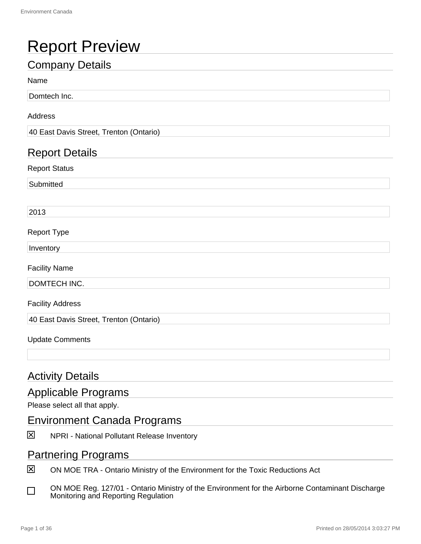## Report Preview

### Company Details

#### Name

Domtech Inc.

#### Address

40 East Davis Street, Trenton (Ontario)

#### Report Details

Report Status

**Submitted** 

2013

#### Report Type

Inventory

Facility Name

DOMTECH INC.

Facility Address

40 East Davis Street, Trenton (Ontario)

#### Update Comments

#### **Activity Details**

#### Applicable Programs

Please select all that apply.

#### Environment Canada Programs

冈 NPRI - National Pollutant Release Inventory

#### Partnering Programs

冈 ON MOE TRA - Ontario Ministry of the Environment for the Toxic Reductions Act

ON MOE Reg. 127/01 - Ontario Ministry of the Environment for the Airborne Contaminant Discharge П Monitoring and Reporting Regulation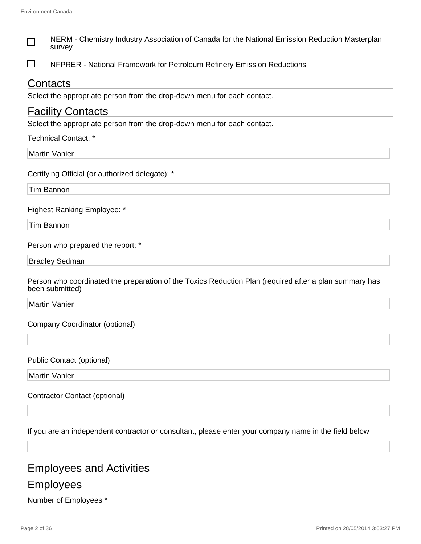| NERM - Chemistry Industry Association of Canada for the National Emission Reduction Masterplan<br>survey                  |
|---------------------------------------------------------------------------------------------------------------------------|
| NFPRER - National Framework for Petroleum Refinery Emission Reductions                                                    |
| Contacts                                                                                                                  |
| Select the appropriate person from the drop-down menu for each contact.                                                   |
| <b>Facility Contacts</b>                                                                                                  |
| Select the appropriate person from the drop-down menu for each contact.                                                   |
| <b>Technical Contact: *</b>                                                                                               |
| <b>Martin Vanier</b>                                                                                                      |
| Certifying Official (or authorized delegate): *                                                                           |
| Tim Bannon                                                                                                                |
| <b>Highest Ranking Employee: *</b>                                                                                        |
| Tim Bannon                                                                                                                |
| Person who prepared the report: *                                                                                         |
| <b>Bradley Sedman</b>                                                                                                     |
| Person who coordinated the preparation of the Toxics Reduction Plan (required after a plan summary has<br>been submitted) |
| <b>Martin Vanier</b>                                                                                                      |
| Company Coordinator (optional)                                                                                            |
| <b>Public Contact (optional)</b>                                                                                          |
| <b>Martin Vanier</b>                                                                                                      |
| <b>Contractor Contact (optional)</b>                                                                                      |
| If you are an independent contractor or consultant, please enter your company name in the field below                     |
|                                                                                                                           |

### Employees and Activities

### **Employees**

Number of Employees \*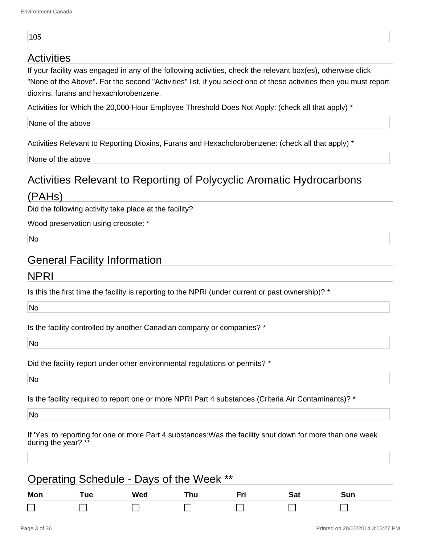#### 105

#### **Activities**

If your facility was engaged in any of the following activities, check the relevant box(es), otherwise click "None of the Above". For the second "Activities" list, if you select one of these activities then you must report dioxins, furans and hexachlorobenzene.

Activities for Which the 20,000-Hour Employee Threshold Does Not Apply: (check all that apply) \*

None of the above

Activities Relevant to Reporting Dioxins, Furans and Hexacholorobenzene: (check all that apply) \*

None of the above

## Activities Relevant to Reporting of Polycyclic Aromatic Hydrocarbons

#### (PAHs)

Did the following activity take place at the facility?

Wood preservation using creosote: \*

No

#### General Facility Information

#### NPRI

Is this the first time the facility is reporting to the NPRI (under current or past ownership)? \*

No

Is the facility controlled by another Canadian company or companies? \*

No

Did the facility report under other environmental regulations or permits? \*

No

Is the facility required to report one or more NPRI Part 4 substances (Criteria Air Contaminants)? \*

No

If 'Yes' to reporting for one or more Part 4 substances:Was the facility shut down for more than one week during the year?

| Operating Schedule - Days of the Week ** |     |     |     |  |     |     |  |
|------------------------------------------|-----|-----|-----|--|-----|-----|--|
| Mon                                      | Tue | Wed | Thu |  | Sat | Sun |  |
|                                          |     |     |     |  |     |     |  |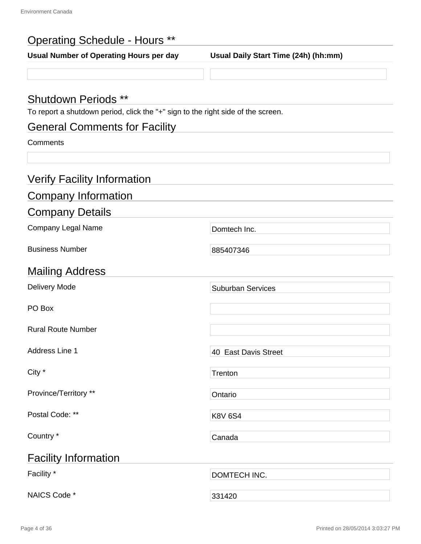### Operating Schedule - Hours \*\*

**Usual Number of Operating Hours per day Usual Daily Start Time (24h) (hh:mm)**

#### Shutdown Periods \*\*

To report a shutdown period, click the "+" sign to the right side of the screen.

### General Comments for Facility

#### **Comments**

| <b>Verify Facility Information</b> |                          |
|------------------------------------|--------------------------|
| <b>Company Information</b>         |                          |
| <b>Company Details</b>             |                          |
| <b>Company Legal Name</b>          | Domtech Inc.             |
| <b>Business Number</b>             | 885407346                |
| <b>Mailing Address</b>             |                          |
| Delivery Mode                      | <b>Suburban Services</b> |
| PO Box                             |                          |
| <b>Rural Route Number</b>          |                          |
| <b>Address Line 1</b>              | 40 East Davis Street     |
| City *                             | Trenton                  |
| Province/Territory **              | Ontario                  |
| Postal Code: **                    | <b>K8V 6S4</b>           |
| Country *                          | Canada                   |
| <b>Facility Information</b>        |                          |
| Facility *                         | DOMTECH INC.             |
| NAICS Code *                       | 331420                   |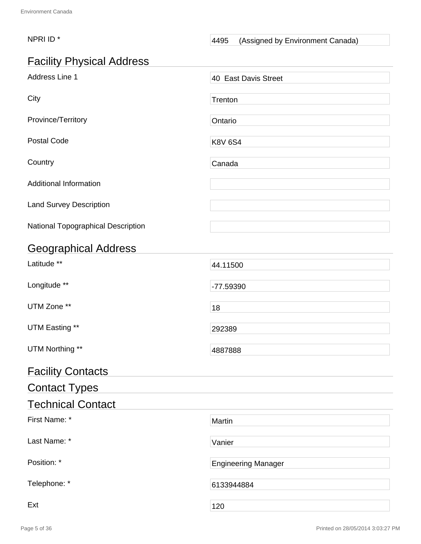#### NPRI ID<sup>\*</sup> A495 (Assigned by Environment Canada)

### Facility Physical Address

| Address Line 1                     | 40 East Davis Street       |
|------------------------------------|----------------------------|
| City                               | Trenton                    |
| Province/Territory                 | Ontario                    |
| <b>Postal Code</b>                 | <b>K8V 6S4</b>             |
| Country                            | Canada                     |
| <b>Additional Information</b>      |                            |
| <b>Land Survey Description</b>     |                            |
| National Topographical Description |                            |
| <b>Geographical Address</b>        |                            |
| Latitude **                        | 44.11500                   |
| Longitude **                       | -77.59390                  |
| UTM Zone **                        | 18                         |
| UTM Easting **                     | 292389                     |
| UTM Northing **                    | 4887888                    |
| <b>Facility Contacts</b>           |                            |
| <b>Contact Types</b>               |                            |
| <b>Technical Contact</b>           |                            |
| First Name: *                      | Martin                     |
| Last Name: *                       | Vanier                     |
| Position: *                        | <b>Engineering Manager</b> |
| Telephone: *                       | 6133944884                 |
| Ext                                | 120                        |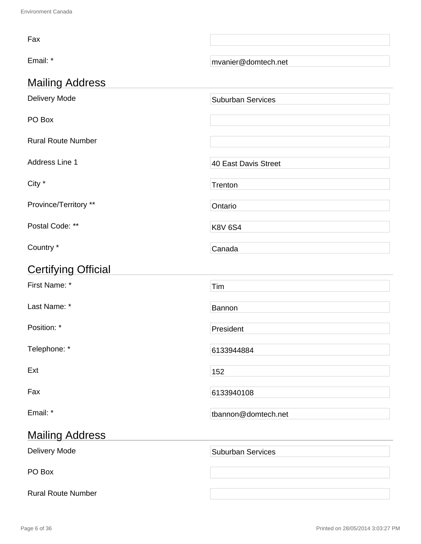| Fax                        |                          |  |
|----------------------------|--------------------------|--|
| Email: *                   | mvanier@domtech.net      |  |
| <b>Mailing Address</b>     |                          |  |
| Delivery Mode              | <b>Suburban Services</b> |  |
| PO Box                     |                          |  |
| <b>Rural Route Number</b>  |                          |  |
| Address Line 1             | 40 East Davis Street     |  |
| City *                     | Trenton                  |  |
| Province/Territory **      | Ontario                  |  |
| Postal Code: **            | <b>K8V 6S4</b>           |  |
| Country *                  | Canada                   |  |
| <b>Certifying Official</b> |                          |  |
| First Name: *              | Tim                      |  |
| Last Name: *               | Bannon                   |  |
| Position: *                | President                |  |
| Telephone: *               | 6133944884               |  |
| Ext                        | 152                      |  |
| Fax                        | 6133940108               |  |
| Email: *                   | tbannon@domtech.net      |  |
| <b>Mailing Address</b>     |                          |  |
| Delivery Mode              | <b>Suburban Services</b> |  |
| PO Box                     |                          |  |
| <b>Rural Route Number</b>  |                          |  |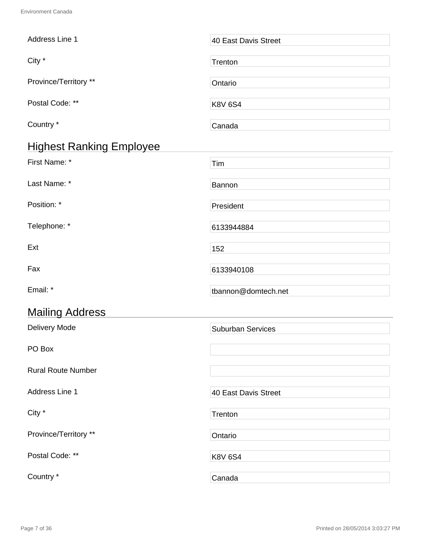| Address Line 1                  | 40 East Davis Street     |
|---------------------------------|--------------------------|
| City *                          | Trenton                  |
| Province/Territory **           | Ontario                  |
| Postal Code: **                 | <b>K8V 6S4</b>           |
| Country *                       | Canada                   |
| <b>Highest Ranking Employee</b> |                          |
| First Name: *                   | Tim                      |
| Last Name: *                    | Bannon                   |
| Position: *                     | President                |
| Telephone: *                    | 6133944884               |
| Ext                             | 152                      |
| Fax                             | 6133940108               |
| Email: *                        | tbannon@domtech.net      |
| <b>Mailing Address</b>          |                          |
| <b>Delivery Mode</b>            | <b>Suburban Services</b> |
| PO Box                          |                          |
| <b>Rural Route Number</b>       |                          |
| Address Line 1                  | 40 East Davis Street     |
| City *                          | Trenton                  |
| Province/Territory **           | Ontario                  |
| Postal Code: **                 | <b>K8V 6S4</b>           |
| Country *                       | Canada                   |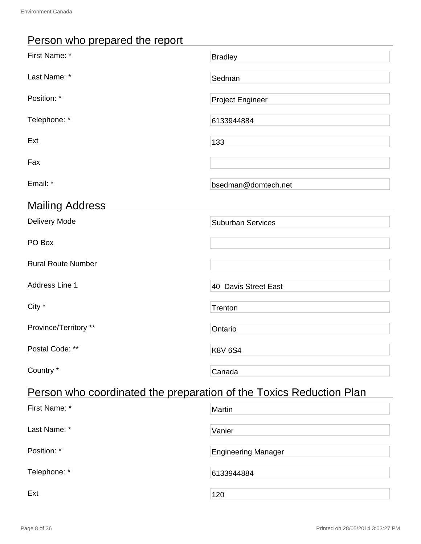## Person who prepared the report

| First Name: *                                                       | <b>Bradley</b>           |  |
|---------------------------------------------------------------------|--------------------------|--|
| Last Name: *                                                        | Sedman                   |  |
| Position: *                                                         | <b>Project Engineer</b>  |  |
| Telephone: *                                                        | 6133944884               |  |
| Ext                                                                 | 133                      |  |
| Fax                                                                 |                          |  |
| Email: *                                                            | bsedman@domtech.net      |  |
| <b>Mailing Address</b>                                              |                          |  |
| Delivery Mode                                                       | <b>Suburban Services</b> |  |
| PO Box                                                              |                          |  |
| <b>Rural Route Number</b>                                           |                          |  |
| Address Line 1                                                      | 40 Davis Street East     |  |
| City *                                                              | Trenton                  |  |
| Province/Territory **                                               | Ontario                  |  |
| Postal Code: **                                                     | <b>K8V 6S4</b>           |  |
| Country *                                                           | Canada                   |  |
| Person who coordinated the preparation of the Toxics Reduction Plan |                          |  |

| First Name: * | Martin                     |
|---------------|----------------------------|
| Last Name: *  | Vanier                     |
| Position: *   | <b>Engineering Manager</b> |
| Telephone: *  | 6133944884                 |
| Ext           | 120                        |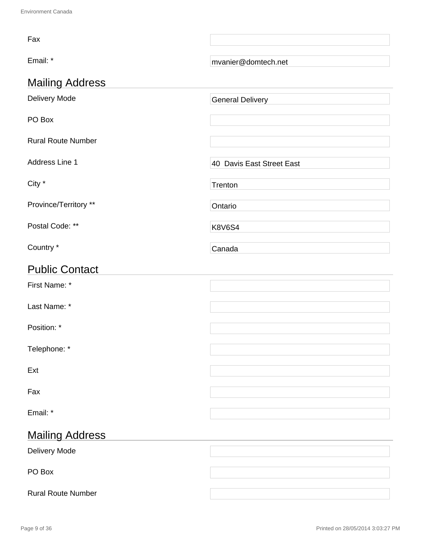| Fax                       |                           |  |
|---------------------------|---------------------------|--|
| Email: *                  | mvanier@domtech.net       |  |
| <b>Mailing Address</b>    |                           |  |
| Delivery Mode             | <b>General Delivery</b>   |  |
| PO Box                    |                           |  |
| <b>Rural Route Number</b> |                           |  |
| Address Line 1            | 40 Davis East Street East |  |
| City *                    | Trenton                   |  |
| Province/Territory **     | Ontario                   |  |
| Postal Code: **           | <b>K8V6S4</b>             |  |
| Country *                 | Canada                    |  |
| <b>Public Contact</b>     |                           |  |
| First Name: *             |                           |  |
| Last Name: *              |                           |  |
| Position: *               |                           |  |
| Telephone: *              |                           |  |
| Ext                       |                           |  |
| Fax                       |                           |  |
| Email: *                  |                           |  |
| <b>Mailing Address</b>    |                           |  |
| Delivery Mode             |                           |  |
| PO Box                    |                           |  |
|                           |                           |  |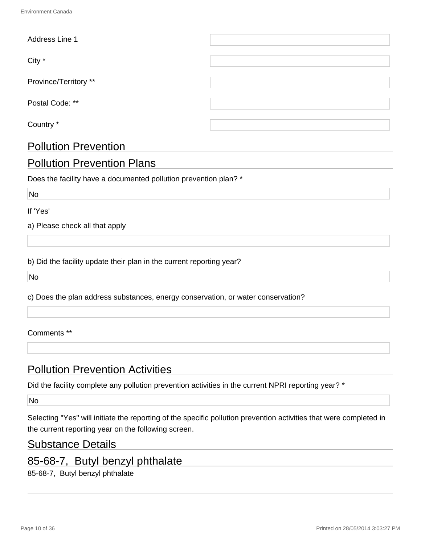| Address Line 1              |  |  |
|-----------------------------|--|--|
|                             |  |  |
| City *                      |  |  |
|                             |  |  |
| Province/Territory **       |  |  |
|                             |  |  |
| Postal Code: **             |  |  |
|                             |  |  |
| Country *                   |  |  |
|                             |  |  |
| <b>Pollution Prevention</b> |  |  |

### Pollution Prevention Plans

Does the facility have a documented pollution prevention plan? \*

No

If 'Yes'

a) Please check all that apply

b) Did the facility update their plan in the current reporting year?

No

c) Does the plan address substances, energy conservation, or water conservation?

#### Comments \*\*

#### Pollution Prevention Activities

Did the facility complete any pollution prevention activities in the current NPRI reporting year? \*

No

Selecting "Yes" will initiate the reporting of the specific pollution prevention activities that were completed in the current reporting year on the following screen.

#### Substance Details

#### 85-68-7, Butyl benzyl phthalate

85-68-7, Butyl benzyl phthalate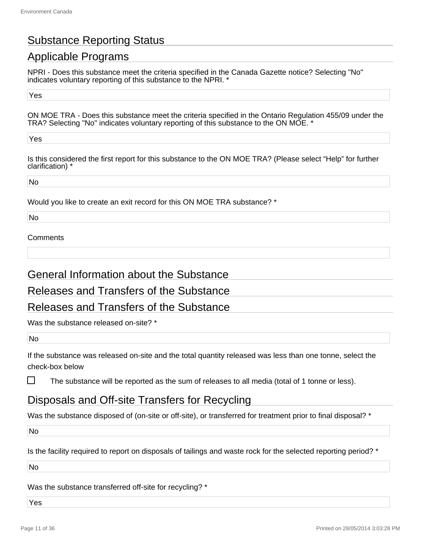### Substance Reporting Status

### Applicable Programs

NPRI - Does this substance meet the criteria specified in the Canada Gazette notice? Selecting "No" indicates voluntary reporting of this substance to the NPRI. \*

Yes

ON MOE TRA - Does this substance meet the criteria specified in the Ontario Regulation 455/09 under the TRA? Selecting "No" indicates voluntary reporting of this substance to the ON MOE. \*

Yes

Is this considered the first report for this substance to the ON MOE TRA? (Please select "Help" for further clarification) \*

No

Would you like to create an exit record for this ON MOE TRA substance? \*

No

#### **Comments**

#### General Information about the Substance

#### Releases and Transfers of the Substance

#### Releases and Transfers of the Substance

Was the substance released on-site? \*

No

П

If the substance was released on-site and the total quantity released was less than one tonne, select the check-box below

The substance will be reported as the sum of releases to all media (total of 1 tonne or less).

#### Disposals and Off-site Transfers for Recycling

Was the substance disposed of (on-site or off-site), or transferred for treatment prior to final disposal? \*

No

Is the facility required to report on disposals of tailings and waste rock for the selected reporting period? \*

No

Was the substance transferred off-site for recycling? \*

Yes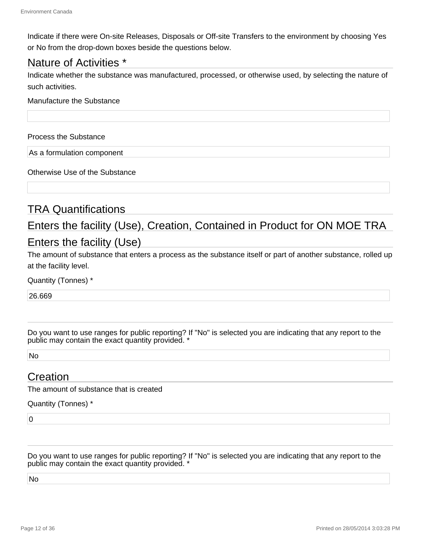Indicate if there were On-site Releases, Disposals or Off-site Transfers to the environment by choosing Yes or No from the drop-down boxes beside the questions below.

#### Nature of Activities \*

Indicate whether the substance was manufactured, processed, or otherwise used, by selecting the nature of such activities.

#### Manufacture the Substance

Process the Substance

As a formulation component

Otherwise Use of the Substance

#### TRA Quantifications

### Enters the facility (Use), Creation, Contained in Product for ON MOE TRA Enters the facility (Use)

The amount of substance that enters a process as the substance itself or part of another substance, rolled up at the facility level.

Quantity (Tonnes) \*

26.669

Do you want to use ranges for public reporting? If "No" is selected you are indicating that any report to the public may contain the exact quantity provided. \*

No

#### **Creation**

The amount of substance that is created

#### Quantity (Tonnes) \*

 $\overline{0}$ 

Do you want to use ranges for public reporting? If "No" is selected you are indicating that any report to the public may contain the exact quantity provided. \*

No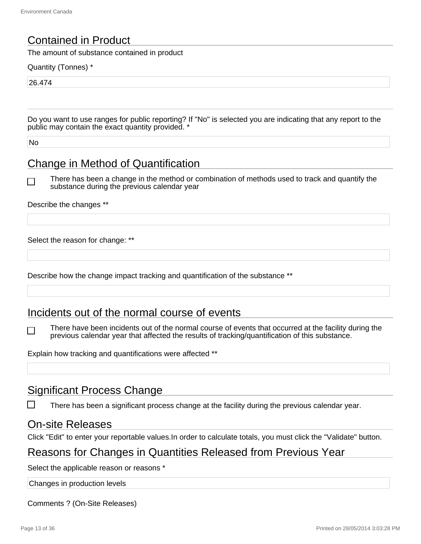#### Contained in Product

The amount of substance contained in product

Quantity (Tonnes) \*

26.474

Do you want to use ranges for public reporting? If "No" is selected you are indicating that any report to the public may contain the exact quantity provided.

No

#### Change in Method of Quantification

 $\Box$ 

There has been a change in the method or combination of methods used to track and quantify the substance during the previous calendar year

Describe the changes \*\*

Select the reason for change: \*\*

Describe how the change impact tracking and quantification of the substance \*\*

#### Incidents out of the normal course of events

There have been incidents out of the normal course of events that occurred at the facility during the ΙI previous calendar year that affected the results of tracking/quantification of this substance.

Explain how tracking and quantifications were affected \*\*

#### Significant Process Change

There has been a significant process change at the facility during the previous calendar year.

#### On-site Releases

Click "Edit" to enter your reportable values.In order to calculate totals, you must click the "Validate" button.

#### Reasons for Changes in Quantities Released from Previous Year

Select the applicable reason or reasons \*

Changes in production levels

Comments ? (On-Site Releases)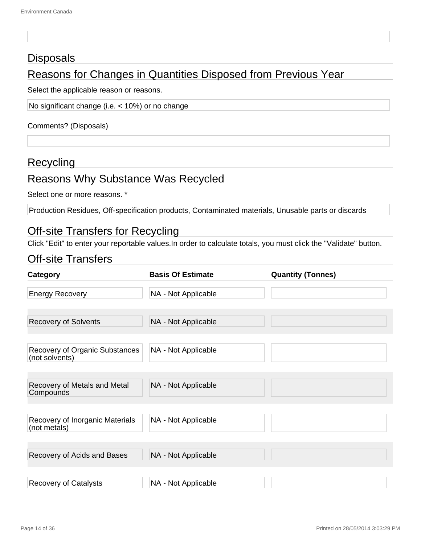#### **Disposals**

### Reasons for Changes in Quantities Disposed from Previous Year

Select the applicable reason or reasons.

No significant change (i.e. < 10%) or no change

Comments? (Disposals)

#### **Recycling**

### Reasons Why Substance Was Recycled

Select one or more reasons. \*

Production Residues, Off-specification products, Contaminated materials, Unusable parts or discards

#### Off-site Transfers for Recycling

Click "Edit" to enter your reportable values.In order to calculate totals, you must click the "Validate" button.

#### Off-site Transfers

| <b>Category</b>                                  | <b>Basis Of Estimate</b> | <b>Quantity (Tonnes)</b> |
|--------------------------------------------------|--------------------------|--------------------------|
| <b>Energy Recovery</b>                           | NA - Not Applicable      |                          |
| <b>Recovery of Solvents</b>                      | NA - Not Applicable      |                          |
| Recovery of Organic Substances<br>(not solvents) | NA - Not Applicable      |                          |
| Recovery of Metals and Metal<br>Compounds        | NA - Not Applicable      |                          |
| Recovery of Inorganic Materials<br>(not metals)  | NA - Not Applicable      |                          |
| Recovery of Acids and Bases                      | NA - Not Applicable      |                          |
| <b>Recovery of Catalysts</b>                     | NA - Not Applicable      |                          |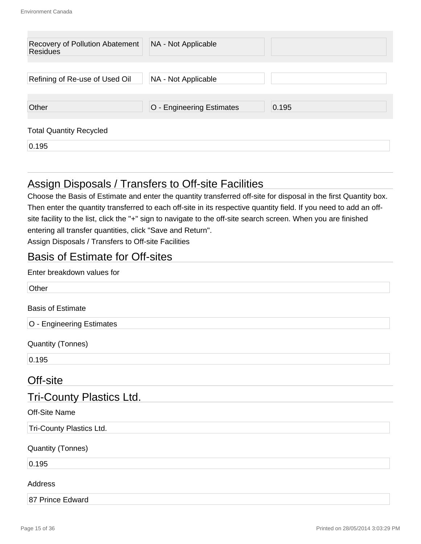| Recovery of Pollution Abatement<br><b>Residues</b> | NA - Not Applicable       |       |
|----------------------------------------------------|---------------------------|-------|
| Refining of Re-use of Used Oil                     | NA - Not Applicable       |       |
| Other                                              | O - Engineering Estimates | 0.195 |
| <b>Total Quantity Recycled</b>                     |                           |       |
| 0.195                                              |                           |       |

#### Assign Disposals / Transfers to Off-site Facilities

Choose the Basis of Estimate and enter the quantity transferred off-site for disposal in the first Quantity box. Then enter the quantity transferred to each off-site in its respective quantity field. If you need to add an offsite facility to the list, click the "+" sign to navigate to the off-site search screen. When you are finished entering all transfer quantities, click "Save and Return".

Assign Disposals / Transfers to Off-site Facilities

#### Basis of Estimate for Off-sites

#### Enter breakdown values for

| Other                           |
|---------------------------------|
| <b>Basis of Estimate</b>        |
| O - Engineering Estimates       |
| <b>Quantity (Tonnes)</b>        |
| 0.195                           |
| Off-site                        |
| <b>Tri-County Plastics Ltd.</b> |
| <b>Off-Site Name</b>            |
| Tri-County Plastics Ltd.        |
| <b>Quantity (Tonnes)</b>        |
| 0.195                           |
| Address                         |
| 87 Prince Edward                |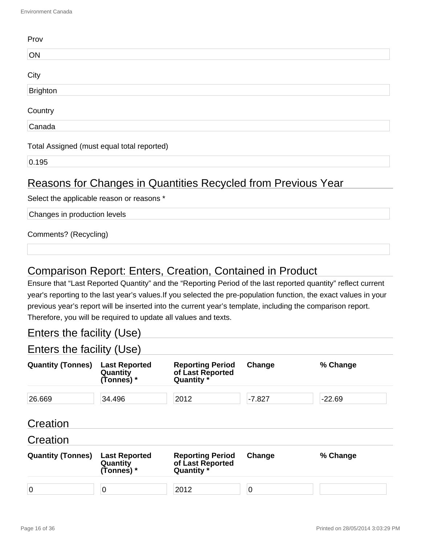| Prov                                       |  |
|--------------------------------------------|--|
| ON                                         |  |
| City                                       |  |
| Brighton                                   |  |
| Country                                    |  |
| Canada                                     |  |
| Total Assigned (must equal total reported) |  |
| 0.195                                      |  |
|                                            |  |

#### Reasons for Changes in Quantities Recycled from Previous Year

Select the applicable reason or reasons \*

Changes in production levels

Comments? (Recycling)

#### Comparison Report: Enters, Creation, Contained in Product

Ensure that "Last Reported Quantity" and the "Reporting Period of the last reported quantity" reflect current year's reporting to the last year's values.If you selected the pre-population function, the exact values in your previous year's report will be inserted into the current year's template, including the comparison report. Therefore, you will be required to update all values and texts.

#### Enters the facility (Use)

Enters the facility (Use)

| <b>Quantity (Tonnes)</b> | <b>Last Reported</b><br>Quantity<br>(Tonnes) * | <b>Reporting Period</b><br>of Last Reported<br>Quantity * | Change   | % Change |
|--------------------------|------------------------------------------------|-----------------------------------------------------------|----------|----------|
| 26.669                   | 34.496                                         | 2012                                                      | $-7.827$ | $-22.69$ |
| Creation                 |                                                |                                                           |          |          |
| Creation                 |                                                |                                                           |          |          |
| <b>Quantity (Tonnes)</b> | <b>Last Reported</b><br>Quantity<br>(Tonnes) * | <b>Reporting Period</b><br>of Last Reported<br>Quantity * | Change   | % Change |
| $\overline{0}$           | 0                                              | 2012                                                      | 0        |          |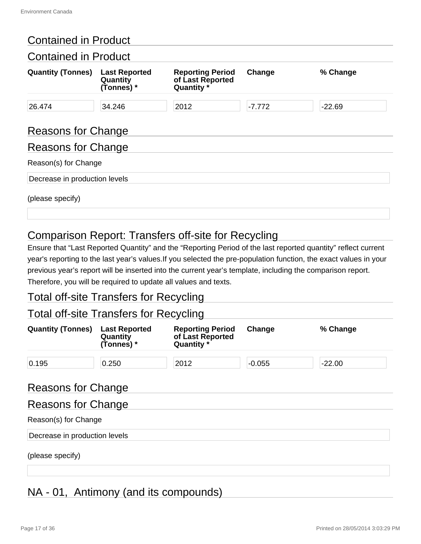#### Contained in Product

| <b>Contained in Product</b>   |                                                |                                                           |          |          |
|-------------------------------|------------------------------------------------|-----------------------------------------------------------|----------|----------|
| <b>Quantity (Tonnes)</b>      | <b>Last Reported</b><br>Quantity<br>(Tonnes) * | <b>Reporting Period</b><br>of Last Reported<br>Quantity * | Change   | % Change |
| 26.474                        | 34.246                                         | 2012                                                      | $-7.772$ | $-22.69$ |
| <b>Reasons for Change</b>     |                                                |                                                           |          |          |
| Reasons for Change            |                                                |                                                           |          |          |
| Reason(s) for Change          |                                                |                                                           |          |          |
| Decrease in production levels |                                                |                                                           |          |          |
| (please specify)              |                                                |                                                           |          |          |

### Comparison Report: Transfers off-site for Recycling

Ensure that "Last Reported Quantity" and the "Reporting Period of the last reported quantity" reflect current year's reporting to the last year's values.If you selected the pre-population function, the exact values in your previous year's report will be inserted into the current year's template, including the comparison report. Therefore, you will be required to update all values and texts.

#### Total off-site Transfers for Recycling

#### Total off-site Transfers for Recycling

| <b>Quantity (Tonnes)</b>      | <b>Last Reported</b><br>Quantity<br>(Tonnes) * | <b>Reporting Period</b><br>of Last Reported<br>Quantity * | Change   | % Change |
|-------------------------------|------------------------------------------------|-----------------------------------------------------------|----------|----------|
| 0.195                         | 0.250                                          | 2012                                                      | $-0.055$ | $-22.00$ |
| <b>Reasons for Change</b>     |                                                |                                                           |          |          |
| <b>Reasons for Change</b>     |                                                |                                                           |          |          |
| Reason(s) for Change          |                                                |                                                           |          |          |
| Decrease in production levels |                                                |                                                           |          |          |

(please specify)

### NA - 01, Antimony (and its compounds)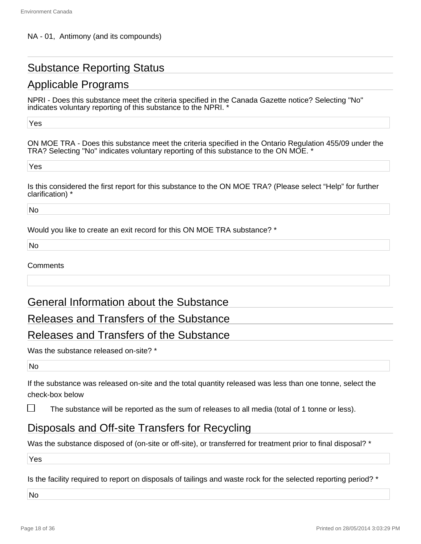### Substance Reporting Status

### Applicable Programs

NPRI - Does this substance meet the criteria specified in the Canada Gazette notice? Selecting "No" indicates voluntary reporting of this substance to the NPRI. \*

Yes

ON MOE TRA - Does this substance meet the criteria specified in the Ontario Regulation 455/09 under the TRA? Selecting "No" indicates voluntary reporting of this substance to the ON MOE. \*

Yes

Is this considered the first report for this substance to the ON MOE TRA? (Please select "Help" for further clarification) \*

No

Would you like to create an exit record for this ON MOE TRA substance? \*

No

#### **Comments**

#### General Information about the Substance

#### Releases and Transfers of the Substance

#### Releases and Transfers of the Substance

Was the substance released on-site? \*

No

If the substance was released on-site and the total quantity released was less than one tonne, select the check-box below

ΙI The substance will be reported as the sum of releases to all media (total of 1 tonne or less).

#### Disposals and Off-site Transfers for Recycling

Was the substance disposed of (on-site or off-site), or transferred for treatment prior to final disposal? \*

Yes

Is the facility required to report on disposals of tailings and waste rock for the selected reporting period? \*

No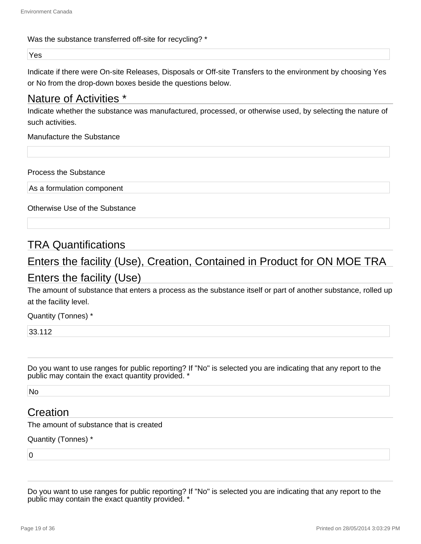#### Was the substance transferred off-site for recycling? \*

Yes

Indicate if there were On-site Releases, Disposals or Off-site Transfers to the environment by choosing Yes or No from the drop-down boxes beside the questions below.

#### Nature of Activities \*

Indicate whether the substance was manufactured, processed, or otherwise used, by selecting the nature of such activities.

Manufacture the Substance

Process the Substance

As a formulation component

Otherwise Use of the Substance

#### TRA Quantifications

# Enters the facility (Use), Creation, Contained in Product for ON MOE TRA

### Enters the facility (Use)

The amount of substance that enters a process as the substance itself or part of another substance, rolled up at the facility level.

Quantity (Tonnes) \*

33.112

Do you want to use ranges for public reporting? If "No" is selected you are indicating that any report to the public may contain the exact quantity provided. \*

No

#### **Creation**

The amount of substance that is created

Quantity (Tonnes) \*

 $\overline{0}$ 

Do you want to use ranges for public reporting? If "No" is selected you are indicating that any report to the public may contain the exact quantity provided. \*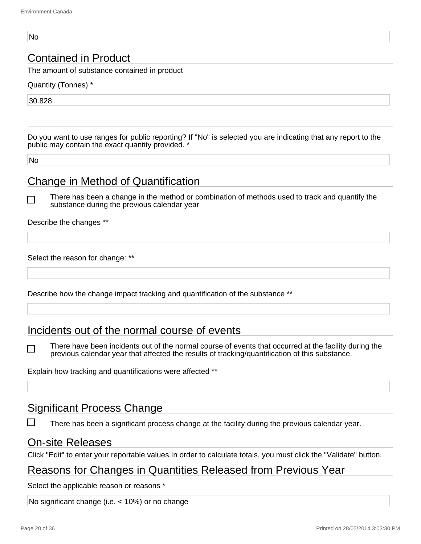#### No

#### Contained in Product

The amount of substance contained in product

Quantity (Tonnes) \*

30.828

Do you want to use ranges for public reporting? If "No" is selected you are indicating that any report to the public may contain the exact quantity provided. \*

No

#### Change in Method of Quantification

There has been a change in the method or combination of methods used to track and quantify the substance during the previous calendar year

Describe the changes \*\*

Select the reason for change: \*\*

Describe how the change impact tracking and quantification of the substance \*\*

#### Incidents out of the normal course of events

There have been incidents out of the normal course of events that occurred at the facility during the previous calendar year that affected the results of tracking/quantification of this substance.

Explain how tracking and quantifications were affected \*\*

#### Significant Process Change

There has been a significant process change at the facility during the previous calendar year.

#### On-site Releases

Click "Edit" to enter your reportable values.In order to calculate totals, you must click the "Validate" button.

#### Reasons for Changes in Quantities Released from Previous Year

Select the applicable reason or reasons \*

No significant change (i.e. < 10%) or no change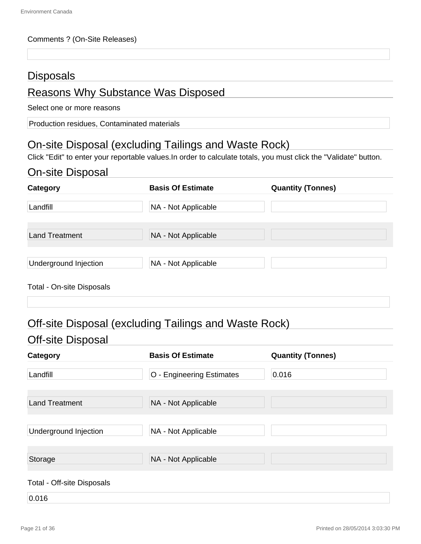#### Comments ? (On-Site Releases)

#### **Disposals**

#### Reasons Why Substance Was Disposed

Select one or more reasons

Production residues, Contaminated materials

### On-site Disposal (excluding Tailings and Waste Rock)

Click "Edit" to enter your reportable values.In order to calculate totals, you must click the "Validate" button.

### On-site Disposal

| Category                  | <b>Basis Of Estimate</b> | <b>Quantity (Tonnes)</b> |
|---------------------------|--------------------------|--------------------------|
| Landfill                  | NA - Not Applicable      |                          |
| <b>Land Treatment</b>     | NA - Not Applicable      |                          |
| Underground Injection     | NA - Not Applicable      |                          |
| Total - On-site Disposals |                          |                          |

### Off-site Disposal (excluding Tailings and Waste Rock)

#### Off-site Disposal

| Category                   | <b>Basis Of Estimate</b>  | <b>Quantity (Tonnes)</b> |
|----------------------------|---------------------------|--------------------------|
| Landfill                   | O - Engineering Estimates | 0.016                    |
| <b>Land Treatment</b>      | NA - Not Applicable       |                          |
| Underground Injection      | NA - Not Applicable       |                          |
| Storage                    | NA - Not Applicable       |                          |
| Total - Off-site Disposals |                           |                          |
| 0.016                      |                           |                          |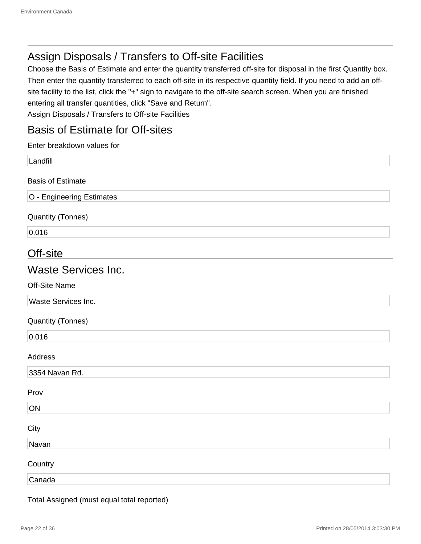### Assign Disposals / Transfers to Off-site Facilities

Choose the Basis of Estimate and enter the quantity transferred off-site for disposal in the first Quantity box. Then enter the quantity transferred to each off-site in its respective quantity field. If you need to add an offsite facility to the list, click the "+" sign to navigate to the off-site search screen. When you are finished entering all transfer quantities, click "Save and Return". Assign Disposals / Transfers to Off-site Facilities

#### Basis of Estimate for Off-sites

| Enter breakdown values for |
|----------------------------|
| Landfill                   |
| <b>Basis of Estimate</b>   |
| O - Engineering Estimates  |
| <b>Quantity (Tonnes)</b>   |
| 0.016                      |
| Off-site                   |
| <b>Waste Services Inc.</b> |
| Off-Site Name              |
| Waste Services Inc.        |
| <b>Quantity (Tonnes)</b>   |
| 0.016                      |
| Address                    |
| 3354 Navan Rd.             |
| Prov                       |
| ON                         |
| City                       |
| Navan                      |
| Country                    |
| Canada                     |

Total Assigned (must equal total reported)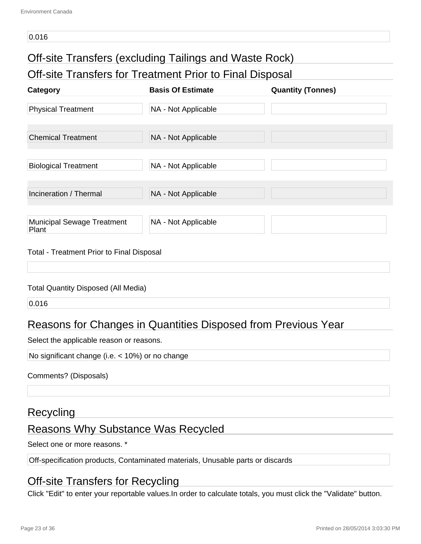#### 0.016

### Off-site Transfers (excluding Tailings and Waste Rock)

Off-site Transfers for Treatment Prior to Final Disposal

| <b>Category</b>                            | <b>Basis Of Estimate</b> | <b>Quantity (Tonnes)</b> |
|--------------------------------------------|--------------------------|--------------------------|
| <b>Physical Treatment</b>                  | NA - Not Applicable      |                          |
| <b>Chemical Treatment</b>                  | NA - Not Applicable      |                          |
| <b>Biological Treatment</b>                | NA - Not Applicable      |                          |
| Incineration / Thermal                     | NA - Not Applicable      |                          |
| <b>Municipal Sewage Treatment</b><br>Plant | NA - Not Applicable      |                          |

#### Total - Treatment Prior to Final Disposal

#### Total Quantity Disposed (All Media)

0.016

### Reasons for Changes in Quantities Disposed from Previous Year

Select the applicable reason or reasons.

No significant change (i.e. < 10%) or no change

Comments? (Disposals)

#### Recycling

#### Reasons Why Substance Was Recycled

Select one or more reasons. \*

Off-specification products, Contaminated materials, Unusable parts or discards

#### Off-site Transfers for Recycling

Click "Edit" to enter your reportable values.In order to calculate totals, you must click the "Validate" button.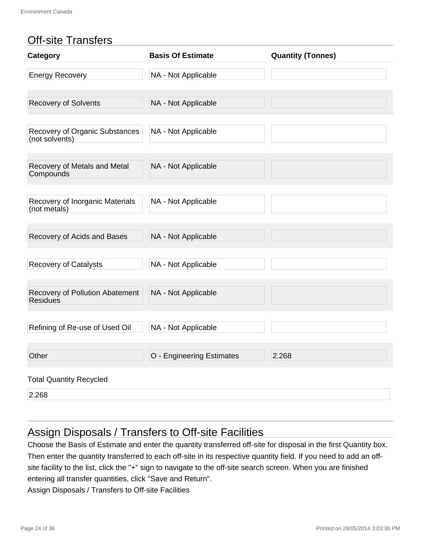### Off-site Transfers

| Category                                         | <b>Basis Of Estimate</b>  | <b>Quantity (Tonnes)</b> |
|--------------------------------------------------|---------------------------|--------------------------|
| <b>Energy Recovery</b>                           | NA - Not Applicable       |                          |
| <b>Recovery of Solvents</b>                      | NA - Not Applicable       |                          |
| Recovery of Organic Substances<br>(not solvents) | NA - Not Applicable       |                          |
| Recovery of Metals and Metal<br>Compounds        | NA - Not Applicable       |                          |
| Recovery of Inorganic Materials<br>(not metals)  | NA - Not Applicable       |                          |
| Recovery of Acids and Bases                      | NA - Not Applicable       |                          |
| <b>Recovery of Catalysts</b>                     | NA - Not Applicable       |                          |
| Recovery of Pollution Abatement<br>Residues      | NA - Not Applicable       |                          |
| Refining of Re-use of Used Oil                   | NA - Not Applicable       |                          |
| Other                                            | O - Engineering Estimates | 2.268                    |
| <b>Total Quantity Recycled</b>                   |                           |                          |
| 2.268                                            |                           |                          |

### Assign Disposals / Transfers to Off-site Facilities

Choose the Basis of Estimate and enter the quantity transferred off-site for disposal in the first Quantity box. Then enter the quantity transferred to each off-site in its respective quantity field. If you need to add an offsite facility to the list, click the "+" sign to navigate to the off-site search screen. When you are finished entering all transfer quantities, click "Save and Return".

Assign Disposals / Transfers to Off-site Facilities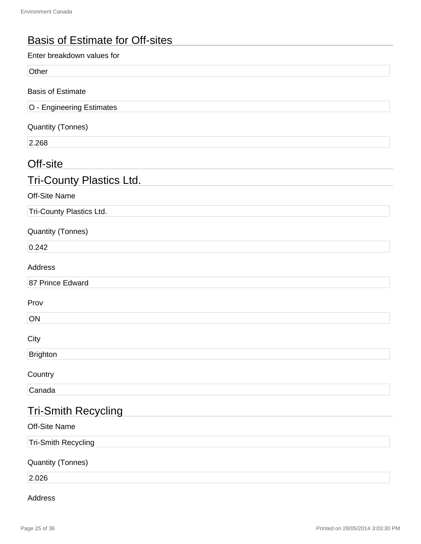### Basis of Estimate for Off-sites

## Off-site Tri-County Plastics Ltd. Tri-Smith Recycling Enter breakdown values for **Other** Basis of Estimate O - Engineering Estimates Quantity (Tonnes) 2.268 Off-Site Name Tri-County Plastics Ltd. Quantity (Tonnes) 0.242 Address 87 Prince Edward Prov **ON** City **Brighton Country** Canada Off-Site Name Tri-Smith Recycling Quantity (Tonnes)

2.026

#### Address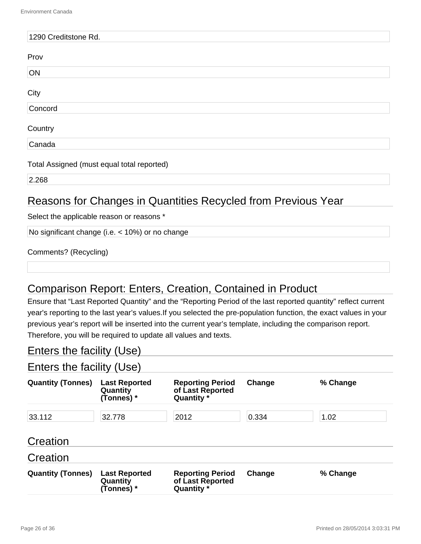| 1290 Creditstone Rd.                       |
|--------------------------------------------|
| Prov                                       |
| ON                                         |
| City                                       |
| Concord                                    |
| Country                                    |
| Canada                                     |
| Total Assigned (must equal total reported) |
| 2.268                                      |

### Reasons for Changes in Quantities Recycled from Previous Year

Select the applicable reason or reasons \*

No significant change (i.e. < 10%) or no change

| Comments? (Recycling) |  |
|-----------------------|--|
|-----------------------|--|

### Comparison Report: Enters, Creation, Contained in Product

Ensure that "Last Reported Quantity" and the "Reporting Period of the last reported quantity" reflect current year's reporting to the last year's values.If you selected the pre-population function, the exact values in your previous year's report will be inserted into the current year's template, including the comparison report. Therefore, you will be required to update all values and texts.

#### Enters the facility (Use)

### Enters the facility (Use)

| <b>Quantity (Tonnes)</b> | <b>Last Reported</b><br>Quantity<br>(Tonnes) * | <b>Reporting Period</b><br>of Last Reported<br>Quantity * | Change | % Change |
|--------------------------|------------------------------------------------|-----------------------------------------------------------|--------|----------|
| 33.112                   | 32.778                                         | 2012                                                      | 0.334  | 1.02     |
| Creation                 |                                                |                                                           |        |          |
| Creation                 |                                                |                                                           |        |          |
| <b>Quantity (Tonnes)</b> | <b>Last Reported</b><br>Quantity<br>(Tonnes) * | <b>Reporting Period</b><br>of Last Reported<br>Quantity * | Change | % Change |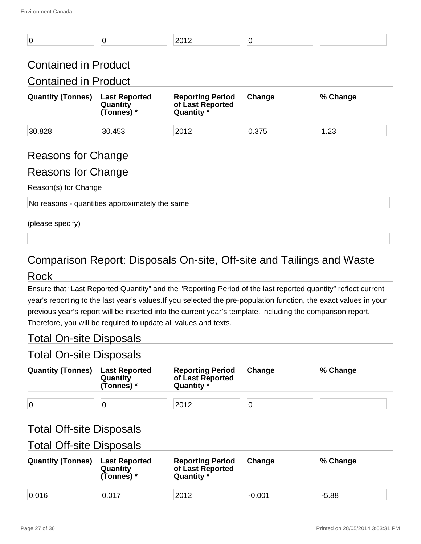| $\overline{0}$                                 | 0                                              | 2012                                                      | $\mathbf 0$ |          |  |  |
|------------------------------------------------|------------------------------------------------|-----------------------------------------------------------|-------------|----------|--|--|
| <b>Contained in Product</b>                    |                                                |                                                           |             |          |  |  |
| <b>Contained in Product</b>                    |                                                |                                                           |             |          |  |  |
| <b>Quantity (Tonnes)</b>                       | <b>Last Reported</b><br>Quantity<br>(Tonnes) * | <b>Reporting Period</b><br>of Last Reported<br>Quantity * | Change      | % Change |  |  |
| 30.828                                         | 30.453                                         | 2012                                                      | 0.375       | 1.23     |  |  |
| Reasons for Change                             |                                                |                                                           |             |          |  |  |
| Reasons for Change                             |                                                |                                                           |             |          |  |  |
| Reason(s) for Change                           |                                                |                                                           |             |          |  |  |
| No reasons - quantities approximately the same |                                                |                                                           |             |          |  |  |
| (please specify)                               |                                                |                                                           |             |          |  |  |

### Comparison Report: Disposals On-site, Off-site and Tailings and Waste

#### Rock

Ensure that "Last Reported Quantity" and the "Reporting Period of the last reported quantity" reflect current year's reporting to the last year's values.If you selected the pre-population function, the exact values in your previous year's report will be inserted into the current year's template, including the comparison report. Therefore, you will be required to update all values and texts.

#### Total On-site Disposals

#### Total On-site Disposals

| <b>Quantity (Tonnes)</b>        | <b>Last Reported</b><br>Quantity<br>(Tonnes) * | <b>Reporting Period</b><br>of Last Reported<br>Quantity * | Change   | % Change |
|---------------------------------|------------------------------------------------|-----------------------------------------------------------|----------|----------|
| $\overline{0}$                  | 0                                              | 2012                                                      | 0        |          |
| <b>Total Off-site Disposals</b> |                                                |                                                           |          |          |
| <b>Total Off-site Disposals</b> |                                                |                                                           |          |          |
| <b>Quantity (Tonnes)</b>        | <b>Last Reported</b><br>Quantity<br>(Tonnes) * | <b>Reporting Period</b><br>of Last Reported<br>Quantity * | Change   | % Change |
| 0.016                           | 0.017                                          | 2012                                                      | $-0.001$ | $-5.88$  |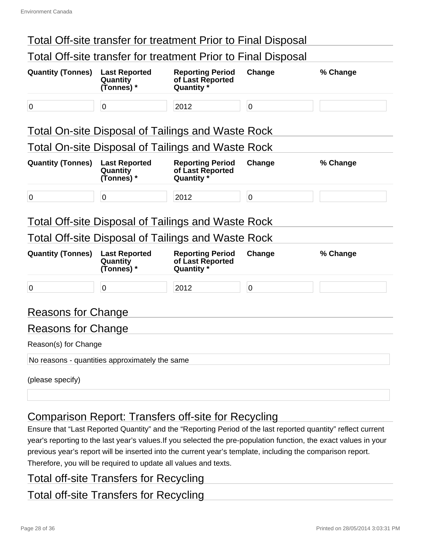|                           |                                                | Total Off-site transfer for treatment Prior to Final Disposal |                |          |
|---------------------------|------------------------------------------------|---------------------------------------------------------------|----------------|----------|
|                           |                                                | Total Off-site transfer for treatment Prior to Final Disposal |                |          |
| <b>Quantity (Tonnes)</b>  | <b>Last Reported</b><br>Quantity<br>(Tonnes) * | <b>Reporting Period</b><br>of Last Reported<br>Quantity *     | Change         | % Change |
| $\overline{0}$            | $\mathbf 0$                                    | 2012                                                          | $\overline{0}$ |          |
|                           |                                                | <b>Total On-site Disposal of Tailings and Waste Rock</b>      |                |          |
|                           |                                                | <b>Total On-site Disposal of Tailings and Waste Rock</b>      |                |          |
| <b>Quantity (Tonnes)</b>  | <b>Last Reported</b><br>Quantity<br>(Tonnes) * | <b>Reporting Period</b><br>of Last Reported<br>Quantity *     | Change         | % Change |
| $\overline{0}$            | $\mathbf 0$                                    | 2012                                                          | $\overline{0}$ |          |
|                           |                                                | <b>Total Off-site Disposal of Tailings and Waste Rock</b>     |                |          |
|                           |                                                | Total Off-site Disposal of Tailings and Waste Rock            |                |          |
| <b>Quantity (Tonnes)</b>  | <b>Last Reported</b><br>Quantity<br>(Tonnes) * | <b>Reporting Period</b><br>of Last Reported<br>Quantity *     | Change         | % Change |
| $\overline{0}$            | $\overline{0}$                                 | 2012                                                          | $\overline{0}$ |          |
| <b>Reasons for Change</b> |                                                |                                                               |                |          |
| Reasons for Change        |                                                |                                                               |                |          |
| Reason(s) for Change      |                                                |                                                               |                |          |
|                           | No reasons - quantities approximately the same |                                                               |                |          |
| (please specify)          |                                                |                                                               |                |          |

### Comparison Report: Transfers off-site for Recycling

Ensure that "Last Reported Quantity" and the "Reporting Period of the last reported quantity" reflect current year's reporting to the last year's values.If you selected the pre-population function, the exact values in your previous year's report will be inserted into the current year's template, including the comparison report. Therefore, you will be required to update all values and texts.

#### Total off-site Transfers for Recycling

#### Total off-site Transfers for Recycling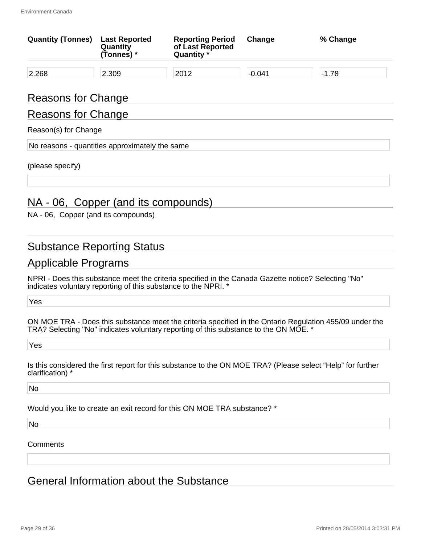| <b>Quantity (Tonnes)</b> | <b>Last Reported</b><br>Quantity<br>(Tonnes) * | <b>Reporting Period</b><br>of Last Reported<br>Quantity * | Change   | % Change |
|--------------------------|------------------------------------------------|-----------------------------------------------------------|----------|----------|
| 2.268                    | 2.309                                          | 2012                                                      | $-0.041$ | $-1.78$  |
| Reasons for Change       |                                                |                                                           |          |          |

#### Reasons for Change

#### Reason(s) for Change

No reasons - quantities approximately the same

(please specify)

#### NA - 06, Copper (and its compounds)

NA - 06, Copper (and its compounds)

#### Substance Reporting Status

#### Applicable Programs

NPRI - Does this substance meet the criteria specified in the Canada Gazette notice? Selecting "No" indicates voluntary reporting of this substance to the NPRI. \*

Yes

ON MOE TRA - Does this substance meet the criteria specified in the Ontario Regulation 455/09 under the TRA? Selecting "No" indicates voluntary reporting of this substance to the ON MOE. \*

Yes

Is this considered the first report for this substance to the ON MOE TRA? (Please select "Help" for further clarification) \*

No

Would you like to create an exit record for this ON MOE TRA substance? \*

No

Comments

General Information about the Substance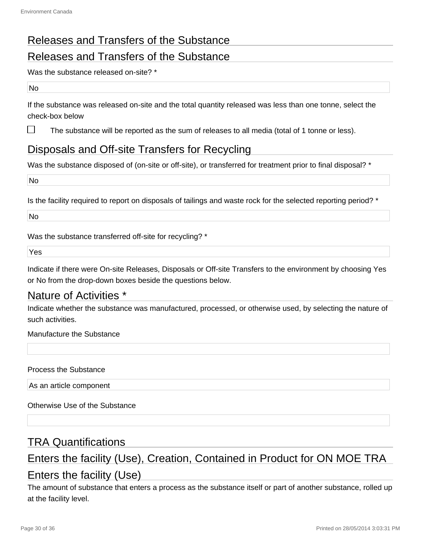### Releases and Transfers of the Substance

#### Releases and Transfers of the Substance

Was the substance released on-site? \*

#### No

П

If the substance was released on-site and the total quantity released was less than one tonne, select the check-box below

The substance will be reported as the sum of releases to all media (total of 1 tonne or less).

### Disposals and Off-site Transfers for Recycling

Was the substance disposed of (on-site or off-site), or transferred for treatment prior to final disposal? \*

No

Is the facility required to report on disposals of tailings and waste rock for the selected reporting period? \*

No

Was the substance transferred off-site for recycling? \*

Yes

Indicate if there were On-site Releases, Disposals or Off-site Transfers to the environment by choosing Yes or No from the drop-down boxes beside the questions below.

#### Nature of Activities \*

Indicate whether the substance was manufactured, processed, or otherwise used, by selecting the nature of such activities.

Manufacture the Substance

Process the Substance

As an article component

Otherwise Use of the Substance

#### TRA Quantifications

### Enters the facility (Use), Creation, Contained in Product for ON MOE TRA Enters the facility (Use)

The amount of substance that enters a process as the substance itself or part of another substance, rolled up at the facility level.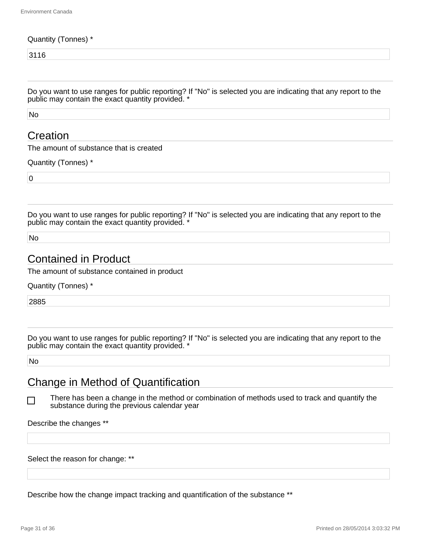#### Quantity (Tonnes) \*

3116

Do you want to use ranges for public reporting? If "No" is selected you are indicating that any report to the public may contain the exact quantity provided. \*

No

#### **Creation**

The amount of substance that is created

Quantity (Tonnes) \*

 $\overline{0}$ 

Do you want to use ranges for public reporting? If "No" is selected you are indicating that any report to the public may contain the exact quantity provided. \*

No

#### Contained in Product

The amount of substance contained in product

Quantity (Tonnes) \*

2885

Do you want to use ranges for public reporting? If "No" is selected you are indicating that any report to the public may contain the exact quantity provided. \*

No

l 1

#### Change in Method of Quantification

There has been a change in the method or combination of methods used to track and quantify the substance during the previous calendar year

Describe the changes \*\*

Select the reason for change: \*\*

Describe how the change impact tracking and quantification of the substance \*\*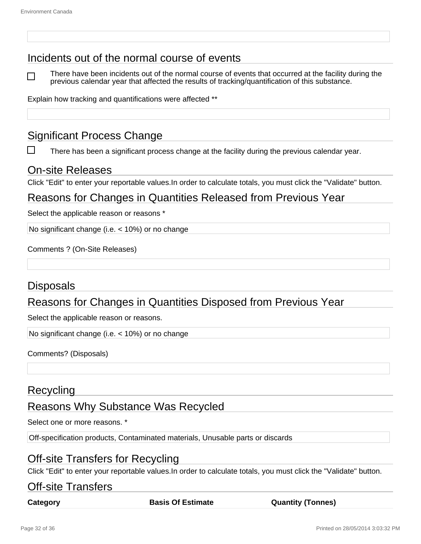#### Incidents out of the normal course of events

There have been incidents out of the normal course of events that occurred at the facility during the previous calendar year that affected the results of tracking/quantification of this substance.

Explain how tracking and quantifications were affected \*\*

#### Significant Process Change

There has been a significant process change at the facility during the previous calendar year.

#### On-site Releases

Click "Edit" to enter your reportable values.In order to calculate totals, you must click the "Validate" button.

#### Reasons for Changes in Quantities Released from Previous Year

Select the applicable reason or reasons \*

No significant change (i.e. < 10%) or no change

Comments ? (On-Site Releases)

#### **Disposals**

#### Reasons for Changes in Quantities Disposed from Previous Year

Select the applicable reason or reasons.

No significant change (i.e. < 10%) or no change

Comments? (Disposals)

#### **Recycling**

#### Reasons Why Substance Was Recycled

Select one or more reasons. \*

Off-specification products, Contaminated materials, Unusable parts or discards

#### Off-site Transfers for Recycling

Click "Edit" to enter your reportable values.In order to calculate totals, you must click the "Validate" button.

#### Off-site Transfers

**Category Basis Of Estimate Quantity (Tonnes)**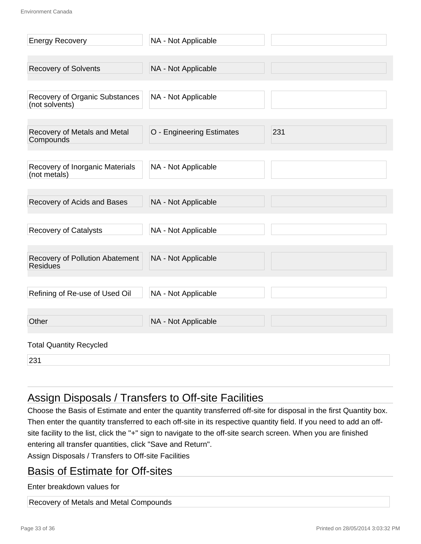| <b>Energy Recovery</b>                           | NA - Not Applicable       |     |
|--------------------------------------------------|---------------------------|-----|
|                                                  |                           |     |
| <b>Recovery of Solvents</b>                      | NA - Not Applicable       |     |
|                                                  |                           |     |
| Recovery of Organic Substances<br>(not solvents) | NA - Not Applicable       |     |
|                                                  |                           |     |
| Recovery of Metals and Metal<br>Compounds        | O - Engineering Estimates | 231 |
|                                                  |                           |     |
| Recovery of Inorganic Materials<br>(not metals)  | NA - Not Applicable       |     |
|                                                  |                           |     |
| Recovery of Acids and Bases                      | NA - Not Applicable       |     |
|                                                  |                           |     |
| <b>Recovery of Catalysts</b>                     | NA - Not Applicable       |     |
| Recovery of Pollution Abatement                  | NA - Not Applicable       |     |
| <b>Residues</b>                                  |                           |     |
|                                                  |                           |     |
| Refining of Re-use of Used Oil                   | NA - Not Applicable       |     |
| Other                                            |                           |     |
|                                                  | NA - Not Applicable       |     |
| <b>Total Quantity Recycled</b>                   |                           |     |
| 231                                              |                           |     |

### Assign Disposals / Transfers to Off-site Facilities

Choose the Basis of Estimate and enter the quantity transferred off-site for disposal in the first Quantity box. Then enter the quantity transferred to each off-site in its respective quantity field. If you need to add an offsite facility to the list, click the "+" sign to navigate to the off-site search screen. When you are finished entering all transfer quantities, click "Save and Return".

Assign Disposals / Transfers to Off-site Facilities

#### Basis of Estimate for Off-sites

Enter breakdown values for

Recovery of Metals and Metal Compounds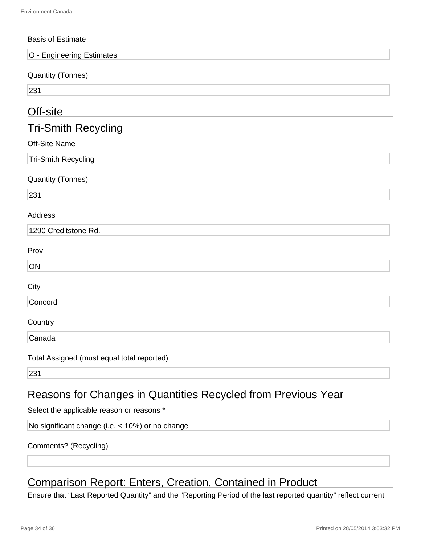| <b>Basis of Estimate</b>                                             |
|----------------------------------------------------------------------|
| O - Engineering Estimates                                            |
| <b>Quantity (Tonnes)</b>                                             |
| 231                                                                  |
| Off-site                                                             |
| <b>Tri-Smith Recycling</b>                                           |
| Off-Site Name                                                        |
| <b>Tri-Smith Recycling</b>                                           |
| <b>Quantity (Tonnes)</b>                                             |
| 231                                                                  |
| Address                                                              |
| 1290 Creditstone Rd.                                                 |
| Prov                                                                 |
| ON                                                                   |
| City                                                                 |
| Concord                                                              |
| Country                                                              |
| Canada                                                               |
| Total Assigned (must equal total reported)                           |
| 231                                                                  |
| <b>Reasons for Changes in Quantities Recycled from Previous Year</b> |

Select the applicable reason or reasons \*

No significant change (i.e. < 10%) or no change

#### Comments? (Recycling)

### Comparison Report: Enters, Creation, Contained in Product

Ensure that "Last Reported Quantity" and the "Reporting Period of the last reported quantity" reflect current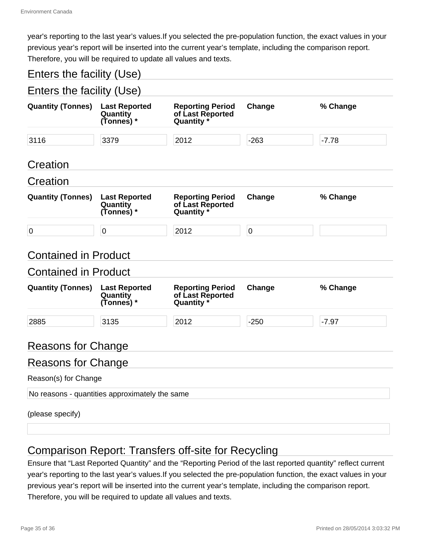year's reporting to the last year's values.If you selected the pre-population function, the exact values in your previous year's report will be inserted into the current year's template, including the comparison report. Therefore, you will be required to update all values and texts.

#### Enters the facility (Use)

| Enters the facility (Use)                                  |                                                |                                                           |           |          |
|------------------------------------------------------------|------------------------------------------------|-----------------------------------------------------------|-----------|----------|
| <b>Quantity (Tonnes)</b>                                   | <b>Last Reported</b><br>Quantity<br>(Tonnes) * | <b>Reporting Period</b><br>of Last Reported<br>Quantity * | Change    | % Change |
| 3116                                                       | 3379                                           | 2012                                                      | $-263$    | $-7.78$  |
| Creation                                                   |                                                |                                                           |           |          |
| Creation                                                   |                                                |                                                           |           |          |
| <b>Quantity (Tonnes)</b>                                   | <b>Last Reported</b><br>Quantity<br>(Tonnes) * | <b>Reporting Period</b><br>of Last Reported<br>Quantity * | Change    | % Change |
| $\mathbf 0$                                                | $\mathbf 0$                                    | 2012                                                      | $\pmb{0}$ |          |
| <b>Contained in Product</b><br><b>Contained in Product</b> |                                                |                                                           |           |          |
| <b>Quantity (Tonnes)</b>                                   | <b>Last Reported</b><br>Quantity<br>(Tonnes) * | <b>Reporting Period</b><br>of Last Reported<br>Quantity * | Change    | % Change |
| 2885                                                       | 3135                                           | 2012                                                      | $-250$    | $-7.97$  |
| <b>Reasons for Change</b>                                  |                                                |                                                           |           |          |
| <b>Reasons for Change</b>                                  |                                                |                                                           |           |          |
| Reason(s) for Change                                       |                                                |                                                           |           |          |
|                                                            | No reasons - quantities approximately the same |                                                           |           |          |
| (please specify)                                           |                                                |                                                           |           |          |

### Comparison Report: Transfers off-site for Recycling

Ensure that "Last Reported Quantity" and the "Reporting Period of the last reported quantity" reflect current year's reporting to the last year's values.If you selected the pre-population function, the exact values in your previous year's report will be inserted into the current year's template, including the comparison report. Therefore, you will be required to update all values and texts.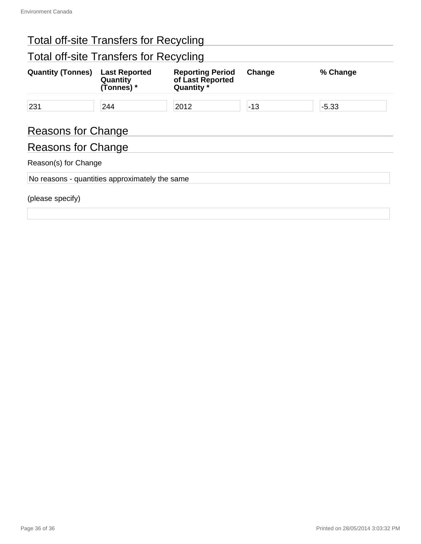## Total off-site Transfers for Recycling

### Total off-site Transfers for Recycling

| <b>Quantity (Tonnes)</b>                       | <b>Last Reported</b><br>Quantity<br>(Tonnes) * | <b>Reporting Period</b><br>of Last Reported<br>Quantity * | Change | % Change |  |  |
|------------------------------------------------|------------------------------------------------|-----------------------------------------------------------|--------|----------|--|--|
| 231                                            | 244                                            | 2012                                                      | $-13$  | $-5.33$  |  |  |
| <b>Reasons for Change</b>                      |                                                |                                                           |        |          |  |  |
| Reasons for Change                             |                                                |                                                           |        |          |  |  |
| Reason(s) for Change                           |                                                |                                                           |        |          |  |  |
| No reasons - quantities approximately the same |                                                |                                                           |        |          |  |  |
| (please specify)                               |                                                |                                                           |        |          |  |  |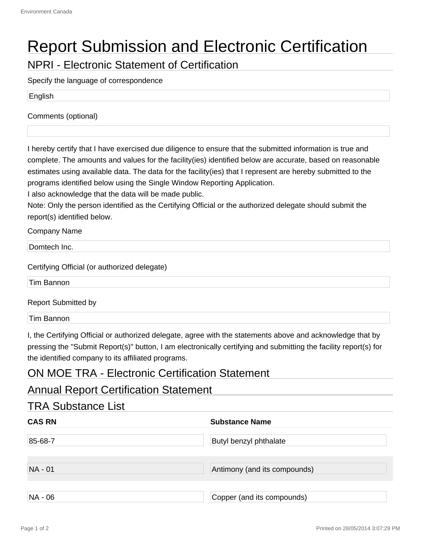# Report Submission and Electronic Certification

NPRI - Electronic Statement of Certification

Specify the language of correspondence

English

Comments (optional)

I hereby certify that I have exercised due diligence to ensure that the submitted information is true and complete. The amounts and values for the facility(ies) identified below are accurate, based on reasonable estimates using available data. The data for the facility(ies) that I represent are hereby submitted to the programs identified below using the Single Window Reporting Application.

I also acknowledge that the data will be made public.

Note: Only the person identified as the Certifying Official or the authorized delegate should submit the report(s) identified below.

Company Name

Domtech Inc.

Certifying Official (or authorized delegate)

Tim Bannon

Report Submitted by

Tim Bannon

I, the Certifying Official or authorized delegate, agree with the statements above and acknowledge that by pressing the "Submit Report(s)" button, I am electronically certifying and submitting the facility report(s) for the identified company to its affiliated programs.

#### ON MOE TRA - Electronic Certification Statement

#### Annual Report Certification Statement

| <b>TRA Substance List</b> |                               |
|---------------------------|-------------------------------|
| <b>CAS RN</b>             | <b>Substance Name</b>         |
| 85-68-7                   | <b>Butyl benzyl phthalate</b> |
| NA - 01                   | Antimony (and its compounds)  |
| NA - 06                   | Copper (and its compounds)    |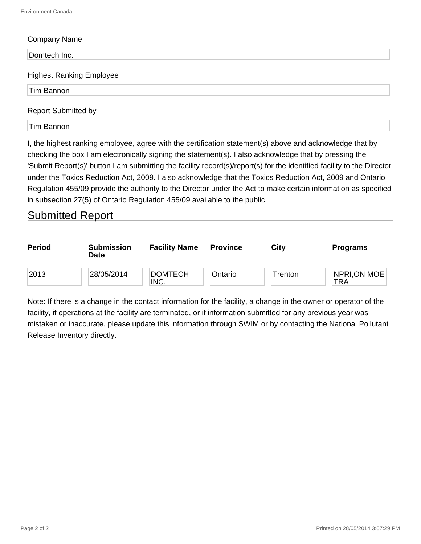#### Company Name

Domtech Inc.

#### Highest Ranking Employee

Tim Bannon

#### Report Submitted by

Tim Bannon

I, the highest ranking employee, agree with the certification statement(s) above and acknowledge that by checking the box I am electronically signing the statement(s). I also acknowledge that by pressing the 'Submit Report(s)' button I am submitting the facility record(s)/report(s) for the identified facility to the Director under the Toxics Reduction Act, 2009. I also acknowledge that the Toxics Reduction Act, 2009 and Ontario Regulation 455/09 provide the authority to the Director under the Act to make certain information as specified in subsection 27(5) of Ontario Regulation 455/09 available to the public.

#### Submitted Report

| <b>Period</b> | <b>Submission</b><br>Date | <b>Facility Name</b>   | <b>Province</b> | Citv    | <b>Programs</b>     |
|---------------|---------------------------|------------------------|-----------------|---------|---------------------|
| 2013          | 28/05/2014                | <b>DOMTECH</b><br>INC. | Ontario         | Trenton | NPRI, ON MOE<br>TRA |

Note: If there is a change in the contact information for the facility, a change in the owner or operator of the facility, if operations at the facility are terminated, or if information submitted for any previous year was mistaken or inaccurate, please update this information through SWIM or by contacting the National Pollutant Release Inventory directly.